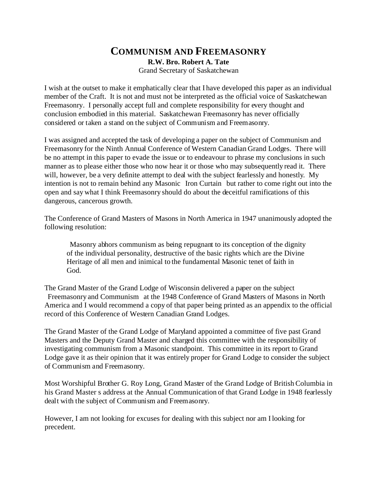## **COMMUNISM AND FREEMASONRY R.W. Bro. Robert A. Tate** Grand Secretary of Saskatchewan

I wish at the outset to make it emphatically clear that I have developed this paper as an individual member of the Craft. It is not and must not be interpreted as the official voice of Saskatchewan Freemasonry. I personally accept full and complete responsibility for every thought and conclusion embodied in this material. Saskatchewan Freemasonry has never officially considered or taken a stand on the subject of Communism and Freemasonry.

I was assigned and accepted the task of developing a paper on the subject of Communism and Freemasonry for the Ninth Annual Conference of Western Canadian Grand Lodges. There will be no attempt in this paper to evade the issue or to endeavour to phrase my conclusions in such manner as to please either those who now hear it or those who may subsequently read it. There will, however, be a very definite attempt to deal with the subject fearlessly and honestly. My intention is not to remain behind any Masonic Iron Curtain but rather to come right out into the open and say what I think Freemasonry should do about the deceitful ramifications of this dangerous, cancerous growth.

The Conference of Grand Masters of Masons in North America in 1947 unanimously adopted the following resolution:

 Masonry abhors communism as being repugnant to its conception of the dignity of the individual personality, destructive of the basic rights which are the Divine Heritage of all men and inimical to the fundamental Masonic tenet of faith in God.

The Grand Master of the Grand Lodge of Wisconsin delivered a paper on the subject Freemasonry and Communism at the 1948 Conference of Grand Masters of Masons in North America and I would recommend a copy of that paper being printed as an appendix to the official record of this Conference of Western Canadian Grand Lodges.

The Grand Master of the Grand Lodge of Maryland appointed a committee of five past Grand Masters and the Deputy Grand Master and charged this committee with the responsibility of investigating communism from a Masonic standpoint. This committee in its report to Grand Lodge gave it as their opinion that it was entirely proper for Grand Lodge to consider the subject of Communism and Freemasonry.

Most Worshipful Brother G. Roy Long, Grand Master of the Grand Lodge of British Columbia in his Grand Master s address at the Annual Communication of that Grand Lodge in 1948 fearlessly dealt with the subject of Communism and Freemasonry.

However, I am not looking for excuses for dealing with this subject nor am I looking for precedent.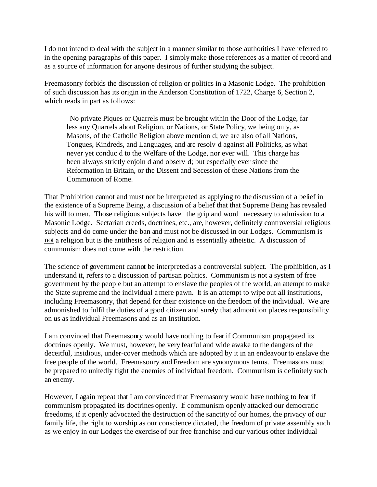I do not intend to deal with the subject in a manner similar to those authorities I have referred to in the opening paragraphs of this paper. I simply make those references as a matter of record and as a source of information for anyone desirous of further studying the subject.

Freemasonry forbids the discussion of religion or politics in a Masonic Lodge. The prohibition of such discussion has its origin in the Anderson Constitution of 1722, Charge 6, Section 2, which reads in part as follows:

 No private Piques or Quarrels must be brought within the Door of the Lodge, far less any Quarrels about Religion, or Nations, or State Policy, we being only, as Masons, of the Catholic Religion above mention d; we are also of all Nations, Tongues, Kindreds, and Languages, and are resolv d against all Politicks, as what never yet conduc d to the Welfare of the Lodge, nor ever will. This charge has been always strictly enjoin d and observ d; but especially ever since the Reformation in Britain, or the Dissent and Secession of these Nations from the Communion of Rome.

That Prohibition cannot and must not be interpreted as applying to the discussion of a belief in the existence of a Supreme Being, a discussion of a belief that that Supreme Being has revealed his will to men. Those religious subjects have the grip and word necessary to admission to a Masonic Lodge. Sectarian creeds, doctrines, etc., are, however, definitely controversial religious subjects and do come under the ban and must not be discussed in our Lodges. Communism is not a religion but is the antithesis of religion and is essentially atheistic. A discussion of communism does not come with the restriction.

The science of government cannot be interpreted as a controversial subject. The prohibition, as I understand it, refers to a discussion of partisan politics. Communism is not a system of free government by the people but an attempt to enslave the peoples of the world, an attempt to make the State supreme and the individual a mere pawn. It is an attempt to wipe out all institutions, including Freemasonry, that depend for their existence on the freedom of the individual. We are admonished to fulfil the duties of a good citizen and surely that admonition places responsibility on us as individual Freemasons and as an Institution.

I am convinced that Freemasonry would have nothing to fear if Communism propagated its doctrines openly. We must, however, be very fearful and wide awake to the dangers of the deceitful, insidious, under-cover methods which are adopted by it in an endeavour to enslave the free people of the world. Freemasonry and Freedom are synonymous terms. Freemasons must be prepared to unitedly fight the enemies of individual freedom. Communism is definitely such an enemy.

However, I again repeat that I am convinced that Freemasonry would have nothing to fear if communism propagated its doctrines openly. If communism openly attacked our democratic freedoms, if it openly advocated the destruction of the sanctity of our homes, the privacy of our family life, the right to worship as our conscience dictated, the freedom of private assembly such as we enjoy in our Lodges the exercise of our free franchise and our various other individual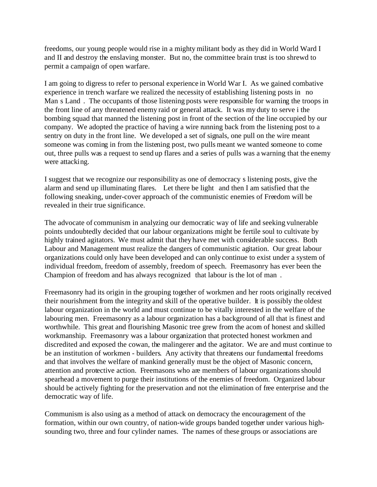freedoms, our young people would rise in a mighty militant body as they did in World Ward I and II and destroy the enslaving monster. But no, the committee brain trust is too shrewd to permit a campaign of open warfare.

I am going to digress to refer to personal experience in World War I. As we gained combative experience in trench warfare we realized the necessity of establishing listening posts in no Man s Land. The occupants of those listening posts were responsible for warning the troops in the front line of any threatened enemy raid or general attack. It was my duty to serve i the bombing squad that manned the listening post in front of the section of the line occupied by our company. We adopted the practice of having a wire running back from the listening post to a sentry on duty in the front line. We developed a set of signals, one pull on the wire meant someone was coming in from the listening post, two pulls meant we wanted someone to come out, three pulls was a request to send up flares and a series of pulls was a warning that the enemy were attacking.

I suggest that we recognize our responsibility as one of democracy s listening posts, give the alarm and send up illuminating flares. Let there be light and then I am satisfied that the following sneaking, under-cover approach of the communistic enemies of Freedom will be revealed in their true significance.

The advocate of communism in analyzing our democratic way of life and seeking vulnerable points undoubtedly decided that our labour organizations might be fertile soul to cultivate by highly trained agitators. We must admit that they have met with considerable success. Both Labour and Management must realize the dangers of communistic agitation. Our great labour organizations could only have been developed and can only continue to exist under a system of individual freedom, freedom of assembly, freedom of speech. Freemasonry has ever been the Champion of freedom and has always recognized that labour is the lot of man .

Freemasonry had its origin in the grouping together of workmen and her roots originally received their nourishment from the integrity and skill of the operative builder. It is possibly the oldest labour organization in the world and must continue to be vitally interested in the welfare of the labouring men. Freemasonry as a labour organization has a background of all that is finest and worthwhile. This great and flourishing Masonic tree grew from the acom of honest and skilled workmanship. Freemasonry was a labour organization that protected honest workmen and discredited and exposed the cowan, the malingerer and the agitator. We are and must continue to be an institution of workmen - builders. Any activity that threatens our fundamental freedoms and that involves the welfare of mankind generally must be the object of Masonic concern, attention and protective action. Freemasons who are members of labour organizations should spearhead a movement to purge their institutions of the enemies of freedom. Organized labour should be actively fighting for the preservation and not the elimination of free enterprise and the democratic way of life.

Communism is also using as a method of attack on democracy the encouragement of the formation, within our own country, of nation-wide groups banded together under various highsounding two, three and four cylinder names. The names of these groups or associations are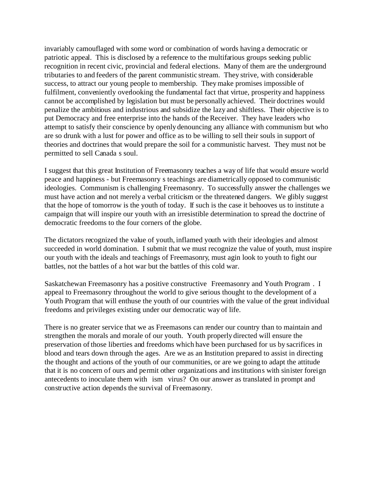invariably camouflaged with some word or combination of words having a democratic or patriotic appeal. This is disclosed by a reference to the multifarious groups seeking public recognition in recent civic, provincial and federal elections. Many of them are the underground tributaries to and feeders of the parent communistic stream. They strive, with considerable success, to attract our young people to membership. They make promises impossible of fulfilment, conveniently overlooking the fundamental fact that virtue, prosperity and happiness cannot be accomplished by legislation but must be personally achieved. Their doctrines would penalize the ambitious and industrious and subsidize the lazy and shiftless. Their objective is to put Democracy and free enterprise into the hands of the Receiver. They have leaders who attempt to satisfy their conscience by openly denouncing any alliance with communism but who are so drunk with a lust for power and office as to be willing to sell their souls in support of theories and doctrines that would prepare the soil for a communistic harvest. They must not be permitted to sell Canada s soul.

I suggest that this great Institution of Freemasonry teaches a way of life that would ensure world peace and happiness - but Freemasonry s teachings are diametrically opposed to communistic ideologies. Communism is challenging Freemasonry. To successfully answer the challenges we must have action and not merely a verbal criticism or the threatened dangers. We glibly suggest that the hope of tomorrow is the youth of today. If such is the case it behooves us to institute a campaign that will inspire our youth with an irresistible determination to spread the doctrine of democratic freedoms to the four corners of the globe.

The dictators recognized the value of youth, inflamed youth with their ideologies and almost succeeded in world domination. I submit that we must recognize the value of youth, must inspire our youth with the ideals and teachings of Freemasonry, must agin look to youth to fight our battles, not the battles of a hot war but the battles of this cold war.

Saskatchewan Freemasonry has a positive constructive Freemasonry and Youth Program . I appeal to Freemasonry throughout the world to give serious thought to the development of a Youth Program that will enthuse the youth of our countries with the value of the great individual freedoms and privileges existing under our democratic way of life.

There is no greater service that we as Freemasons can render our country than to maintain and strengthen the morals and morale of our youth. Youth properly directed will ensure the preservation of those liberties and freedoms which have been purchased for us by sacrifices in blood and tears down through the ages. Are we as an Institution prepared to assist in directing the thought and actions of the youth of our communities, or are we going to adapt the attitude that it is no concern of ours and permit other organizations and institutions with sinister foreign antecedents to inoculate them with ism virus? On our answer as translated in prompt and constructive action depends the survival of Freemasonry.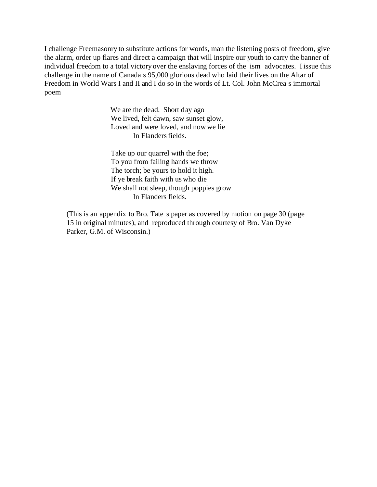I challenge Freemasonry to substitute actions for words, man the listening posts of freedom, give the alarm, order up flares and direct a campaign that will inspire our youth to carry the banner of individual freedom to a total victory over the enslaving forces of the ism advocates. I issue this challenge in the name of Canada s 95,000 glorious dead who laid their lives on the Altar of Freedom in World Wars I and II and I do so in the words of Lt. Col. John McCrea s immortal poem

> We are the dead. Short day ago We lived, felt dawn, saw sunset glow, Loved and were loved, and now we lie In Flanders fields.

Take up our quarrel with the foe; To you from failing hands we throw The torch; be yours to hold it high. If ye break faith with us who die We shall not sleep, though poppies grow In Flanders fields.

(This is an appendix to Bro. Tate s paper as covered by motion on page 30 (page 15 in original minutes), and reproduced through courtesy of Bro. Van Dyke Parker, G.M. of Wisconsin.)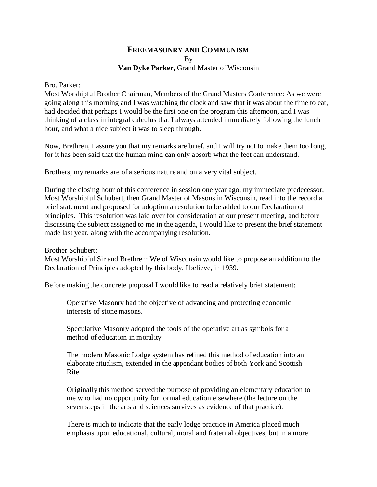## **FREEMASONRY AND COMMUNISM** By **Van Dyke Parker,** Grand Master of Wisconsin

## Bro. Parker:

Most Worshipful Brother Chairman, Members of the Grand Masters Conference: As we were going along this morning and I was watching the clock and saw that it was about the time to eat, I had decided that perhaps I would be the first one on the program this afternoon, and I was thinking of a class in integral calculus that I always attended immediately following the lunch hour, and what a nice subject it was to sleep through.

Now, Brethren, I assure you that my remarks are brief, and I will try not to make them too long, for it has been said that the human mind can only absorb what the feet can understand.

Brothers, my remarks are of a serious nature and on a very vital subject.

During the closing hour of this conference in session one year ago, my immediate predecessor, Most Worshipful Schubert, then Grand Master of Masons in Wisconsin, read into the record a brief statement and proposed for adoption a resolution to be added to our Declaration of principles. This resolution was laid over for consideration at our present meeting, and before discussing the subject assigned to me in the agenda, I would like to present the brief statement made last year, along with the accompanying resolution.

Brother Schubert:

Most Worshipful Sir and Brethren: We of Wisconsin would like to propose an addition to the Declaration of Principles adopted by this body, I believe, in 1939.

Before making the concrete proposal I would like to read a relatively brief statement:

Operative Masonry had the objective of advancing and protecting economic interests of stone masons.

Speculative Masonry adopted the tools of the operative art as symbols for a method of education in morality.

The modern Masonic Lodge system has refined this method of education into an elaborate ritualism, extended in the appendant bodies of both York and Scottish Rite.

Originally this method served the purpose of providing an elementary education to me who had no opportunity for formal education elsewhere (the lecture on the seven steps in the arts and sciences survives as evidence of that practice).

There is much to indicate that the early lodge practice in America placed much emphasis upon educational, cultural, moral and fraternal objectives, but in a more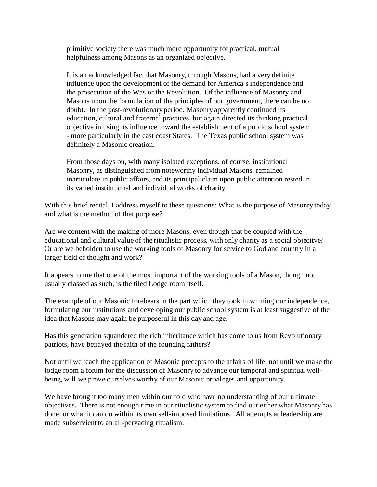primitive society there was much more opportunity for practical, mutual helpfulness among Masons as an organized objective.

It is an acknowledged fact that Masonry, through Masons, had a very definite influence upon the development of the demand for America s independence and the prosecution of the Was or the Revolution. Of the influence of Masonry and Masons upon the formulation of the principles of our government, there can be no doubt. In the post-revolutionary period, Masonry apparently continued its education, cultural and fraternal practices, but again directed its thinking practical objective in using its influence toward the establishment of a public school system - more particularly in the east coast States. The Texas public school system was definitely a Masonic creation.

From those days on, with many isolated exceptions, of course, institutional Masonry, as distinguished from noteworthy individual Masons, remained inarticulate in public affairs, and its principal claim upon public attention rested in its varied institutional and individual works of charity.

With this brief recital, I address myself to these questions: What is the purpose of Masonry today and what is the method of that purpose?

Are we content with the making of more Masons, even though that be coupled with the educational and cultural value of the ritualistic process, with only charity as a social objecitve? Or are we beholden to use the working tools of Masonry for service to God and country in a larger field of thought and work?

It appears to me that one of the most important of the working tools of a Mason, though not usually classed as such, is the tiled Lodge room itself.

The example of our Masonic forebears in the part which they took in winning our independence, formulating our institutions and developing our public school system is at least suggestive of the idea that Masons may again be purposeful in this day and age.

Has this generation squandered the rich inheritance which has come to us from Revolutionary patriots, have betrayed the faith of the founding fathers?

Not until we teach the application of Masonic precepts to the affairs of life, not until we make the lodge room a forum for the discussion of Masonry to advance our temporal and spiritual wellbeing, will we prove ourselves worthy of our Masonic privileges and opportunity.

We have brought too many men within our fold who have no understanding of our ultimate objectives. There is not enough time in our ritualistic system to find out either what Masonry has done, or what it can do within its own self-imposed limitations. All attempts at leadership are made subservient to an all-pervading ritualism.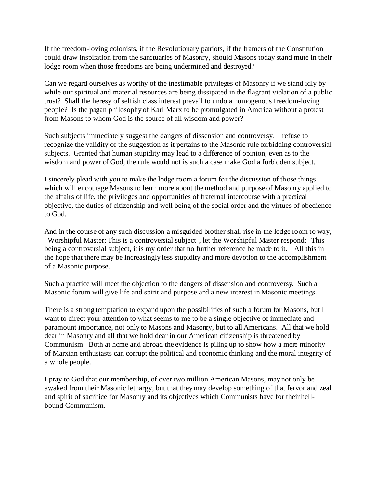If the freedom-loving colonists, if the Revolutionary patriots, if the framers of the Constitution could draw inspiration from the sanctuaries of Masonry, should Masons today stand mute in their lodge room when those freedoms are being undermined and destroyed?

Can we regard ourselves as worthy of the inestimable privileges of Masonry if we stand idly by while our spiritual and material resources are being dissipated in the flagrant violation of a public trust? Shall the heresy of selfish class interest prevail to undo a homogenous freedom-loving people? Is the pagan philosophy of Karl Marx to be promulgated in America without a protest from Masons to whom God is the source of all wisdom and power?

Such subjects immediately suggest the dangers of dissension and controversy. I refuse to recognize the validity of the suggestion as it pertains to the Masonic rule forbidding controversial subjects. Granted that human stupidity may lead to a difference of opinion, even as to the wisdom and power of God, the rule would not is such a case make God a forbidden subject.

I sincerely plead with you to make the lodge room a forum for the discussion of those things which will encourage Masons to learn more about the method and purpose of Masonry applied to the affairs of life, the privileges and opportunities of fraternal intercourse with a practical objective, the duties of citizenship and well being of the social order and the virtues of obedience to God.

And in the course of any such discussion a misguided brother shall rise in the lodge room to way, Worshipful Master; This is a controversial subject , let the Worshipful Master respond: This being a controversial subject, it is my order that no further reference be made to it. All this in the hope that there may be increasingly less stupidity and more devotion to the accomplishment of a Masonic purpose.

Such a practice will meet the objection to the dangers of dissension and controversy. Such a Masonic forum will give life and spirit and purpose and a new interest in Masonic meetings.

There is a strong temptation to expand upon the possibilities of such a forum for Masons, but I want to direct your attention to what seems to me to be a single objective of immediate and paramount importance, not only to Masons and Masonry, but to all Americans. All that we hold dear in Masonry and all that we hold dear in our American citizenship is threatened by Communism. Both at home and abroad the evidence is piling up to show how a mere minority of Marxian enthusiasts can corrupt the political and economic thinking and the moral integrity of a whole people.

I pray to God that our membership, of over two million American Masons, may not only be awaked from their Masonic lethargy, but that they may develop something of that fervor and zeal and spirit of sacrifice for Masonry and its objectives which Communists have for their hellbound Communism.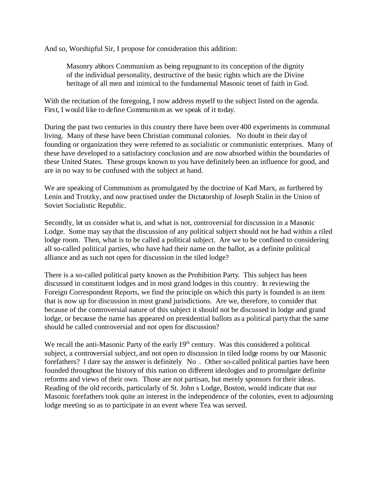And so, Worshipful Sir, I propose for consideration this addition:

Masonry abhors Communism as being repugnant to its conception of the dignity of the individual personality, destructive of the basic rights which are the Divine heritage of all men and inimical to the fundamental Masonic tenet of faith in God.

With the recitation of the foregoing, I now address myself to the subject listed on the agenda. First, I would like to define Communism as we speak of it today.

During the past two centuries in this country there have been over 400 experiments in communal living. Many of these have been Christian communal colonies. No doubt in their day of founding or organization they were referred to as socialistic or communistic enterprises. Many of these have developed to a satisfactory conclusion and are now absorbed within the boundaries of these United States. These groups known to you have definitely been an influence for good, and are in no way to be confused with the subject at hand.

We are speaking of Communism as promulgated by the doctrine of Karl Marx, as furthered by Lenin and Trotzky, and now practised under the Dictatorship of Joseph Stalin in the Union of Soviet Socialistic Republic.

Secondly, let us consider what is, and what is not, controversial for discussion in a Masonic Lodge. Some may say that the discussion of any political subject should not be had within a riled lodge room. Then, what is to be called a political subject. Are we to be confined to considering all so-called political parties, who have had their name on the ballot, as a definite political alliance and as such not open for discussion in the tiled lodge?

There is a so-called political party known as the Prohibition Party. This subject has been discussed in constituent lodges and in most grand lodges in this country. In reviewing the Foreign Correspondent Reports, we find the principle on which this party is founded is an item that is now up for discussion in most grand jurisdictions. Are we, therefore, to consider that because of the controversial nature of this subject it should not be discussed in lodge and grand lodge, or because the name has appeared on presidential ballots as a political party that the same should be called controversial and not open for discussion?

We recall the anti-Masonic Party of the early 19<sup>th</sup> century. Was this considered a political subject, a controversial subject, and not open to discussion in tiled lodge rooms by our Masonic forefathers? I dare say the answer is definitely No . Other so-called political parties have been founded throughout the history of this nation on different ideologies and to promulgate definite reforms and views of their own. Those are not partisan, but merely sponsors for their ideas. Reading of the old records, particularly of St. John s Lodge, Boston, would indicate that our Masonic forefathers took quite an interest in the independence of the colonies, even to adjourning lodge meeting so as to participate in an event where Tea was served.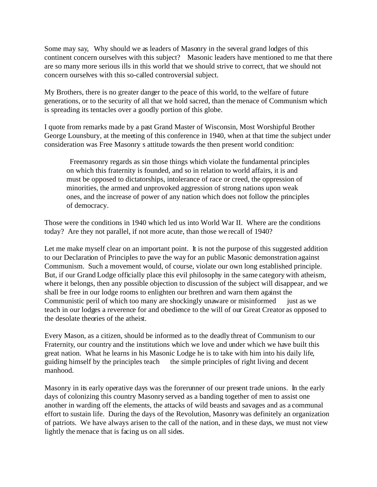Some may say, Why should we as leaders of Masonry in the several grand lodges of this continent concern ourselves with this subject? Masonic leaders have mentioned to me that there are so many more serious ills in this world that we should strive to correct, that we should not concern ourselves with this so-called controversial subject.

My Brothers, there is no greater danger to the peace of this world, to the welfare of future generations, or to the security of all that we hold sacred, than the menace of Communism which is spreading its tentacles over a goodly portion of this globe.

I quote from remarks made by a past Grand Master of Wisconsin, Most Worshipful Brother George Lounsbury, at the meeting of this conference in 1940, when at that time the subject under consideration was Free Masonry s attitude towards the then present world condition:

 Freemasonry regards as sin those things which violate the fundamental principles on which this fraternity is founded, and so in relation to world affairs, it is and must be opposed to dictatorships, intolerance of race or creed, the oppression of minorities, the armed and unprovoked aggression of strong nations upon weak ones, and the increase of power of any nation which does not follow the principles of democracy.

Those were the conditions in 1940 which led us into World War II. Where are the conditions today? Are they not parallel, if not more acute, than those we recall of 1940?

Let me make myself clear on an important point. It is not the purpose of this suggested addition to our Declaration of Principles to pave the way for an public Masonic demonstration against Communism. Such a movement would, of course, violate our own long established principle. But, if our Grand Lodge officially place this evil philosophy in the same category with atheism, where it belongs, then any possible objection to discussion of the subject will disappear, and we shall be free in our lodge rooms to enlighten our brethren and warn them against the Communistic peril of which too many are shockingly unaware or misinformed just as we teach in our lodges a reverence for and obedience to the will of our Great Creator as opposed to the desolate theories of the atheist.

Every Mason, as a citizen, should be informed as to the deadly threat of Communism to our Fraternity, our country and the institutions which we love and under which we have built this great nation. What he learns in his Masonic Lodge he is to take with him into his daily life, guiding himself by the principles teach the simple principles of right living and decent manhood.

Masonry in its early operative days was the forerunner of our present trade unions. In the early days of colonizing this country Masonry served as a banding together of men to assist one another in warding off the elements, the attacks of wild beasts and savages and as a communal effort to sustain life. During the days of the Revolution, Masonry was definitely an organization of patriots. We have always arisen to the call of the nation, and in these days, we must not view lightly the menace that is facing us on all sides.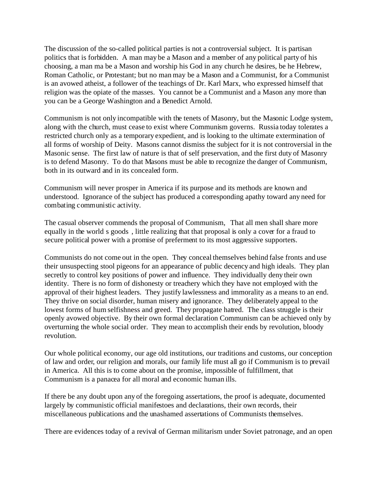The discussion of the so-called political parties is not a controversial subject. It is partisan politics that is forbidden. A man may be a Mason and a member of any political party of his choosing, a man ma be a Mason and worship his God in any church he desires, be he Hebrew, Roman Catholic, or Protestant; but no man may be a Mason and a Communist, for a Communist is an avowed atheist, a follower of the teachings of Dr. Karl Marx, who expressed himself that religion was the opiate of the masses. You cannot be a Communist and a Mason any more than you can be a George Washington and a Benedict Arnold.

Communism is not only incompatible with the tenets of Masonry, but the Masonic Lodge system, along with the church, must cease to exist where Communism governs. Russia today tolerates a restricted church only as a temporary expedient, and is looking to the ultimate extermination of all forms of worship of Deity. Masons cannot dismiss the subject for it is not controversial in the Masonic sense. The first law of nature is that of self preservation, and the first duty of Masonry is to defend Masonry. To do that Masons must be able to recognize the danger of Communism, both in its outward and in its concealed form.

Communism will never prosper in America if its purpose and its methods are known and understood. Ignorance of the subject has produced a corresponding apathy toward any need for combating communistic activity.

The casual observer commends the proposal of Communism, That all men shall share more equally in the world s goods , little realizing that that proposal is only a cover for a fraud to secure political power with a promise of preferment to its most aggressive supporters.

Communists do not come out in the open. They conceal themselves behind false fronts and use their unsuspecting stool pigeons for an appearance of public decency and high ideals. They plan secretly to control key positions of power and influence. They individually deny their own identity. There is no form of dishonesty or treachery which they have not employed with the approval of their highest leaders. They justify lawlessness and immorality as a means to an end. They thrive on social disorder, human misery and ignorance. They deliberately appeal to the lowest forms of hum selfishness and greed. They propagate hatred. The class struggle is their openly avowed objective. By their own formal declaration Communism can be achieved only by overturning the whole social order. They mean to accomplish their ends by revolution, bloody revolution.

Our whole political economy, our age old institutions, our traditions and customs, our conception of law and order, our religion and morals, our family life must all go if Communism is to prevail in America. All this is to come about on the promise, impossible of fulfillment, that Communism is a panacea for all moral and economic human ills.

If there be any doubt upon any of the foregoing assertations, the proof is adequate, documented largely by communistic official manifestoes and declarations, their own records, their miscellaneous publications and the unashamed assertations of Communists themselves.

There are evidences today of a revival of German militarism under Soviet patronage, and an open